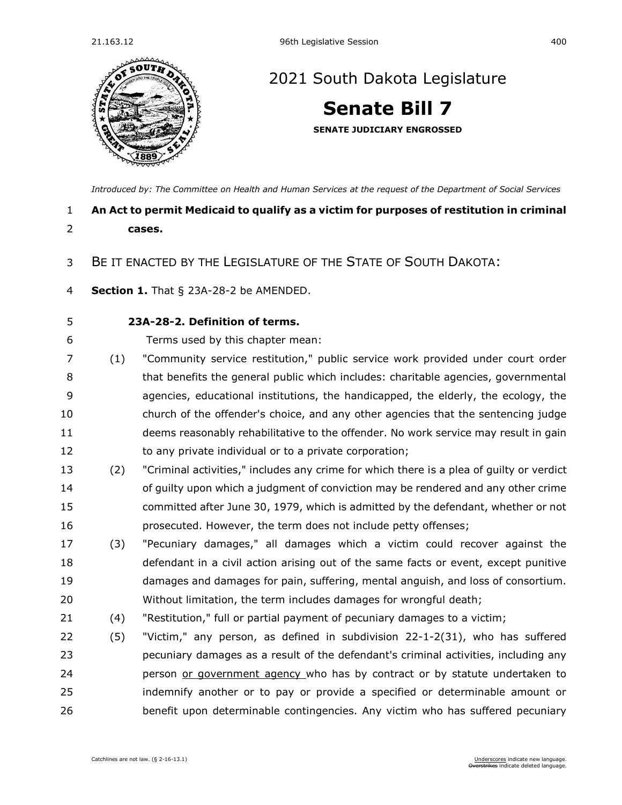

## [2021 South Dakota Legislature](https://sdlegislature.gov/Session/Bills/44)

# **[Senate Bill 7](https://sdlegislature.gov/Session/Bill/21880)**

**SENATE JUDICIARY ENGROSSED**

*[Introduced by: The Committee on Health and Human Services](https://sdlegislature.gov/Session/Committee/508/Detail) at the request of the Department of Social Services*

## **An Act to permit Medicaid to qualify as a victim for purposes of restitution in criminal cases.**

#### BE IT ENACTED BY THE LEGISLATURE OF THE STATE OF SOUTH DAKOTA:

**Section 1.** [That § 23A-28-2 be AMENDED.](https://sdlegislature.gov/Statutes/Codified_Laws/DisplayStatute.aspx?Type=Statute&Statute=23A-28-2)

### **[23A-28-2. D](https://sdlegislature.gov/Statutes/Codified_Laws/DisplayStatute.aspx?Type=Statute&Statute=23A-28-2)efinition of terms.**

- Terms used by this chapter mean:
- (1) "Community service restitution," public service work provided under court order that benefits the general public which includes: charitable agencies, governmental agencies, educational institutions, the handicapped, the elderly, the ecology, the church of the offender's choice, and any other agencies that the sentencing judge deems reasonably rehabilitative to the offender. No work service may result in gain 12 to any private individual or to a private corporation;
- (2) "Criminal activities," includes any crime for which there is a plea of guilty or verdict of guilty upon which a judgment of conviction may be rendered and any other crime committed after June 30, 1979, which is admitted by the defendant, whether or not prosecuted. However, the term does not include petty offenses;
- (3) "Pecuniary damages," all damages which a victim could recover against the defendant in a civil action arising out of the same facts or event, except punitive damages and damages for pain, suffering, mental anguish, and loss of consortium. Without limitation, the term includes damages for wrongful death;
- (4) "Restitution," full or partial payment of pecuniary damages to a victim;
- (5) "Victim," any person, as defined in subdivision [22-1-2\(](https://sdlegislature.gov/Statutes/Codified_Laws/DisplayStatute.aspx?Type=Statute&Statute=22-1-2)31), who has suffered pecuniary damages as a result of the defendant's criminal activities, including any **person of government agency** who has by contract or by statute undertaken to indemnify another or to pay or provide a specified or determinable amount or benefit upon determinable contingencies. Any victim who has suffered pecuniary